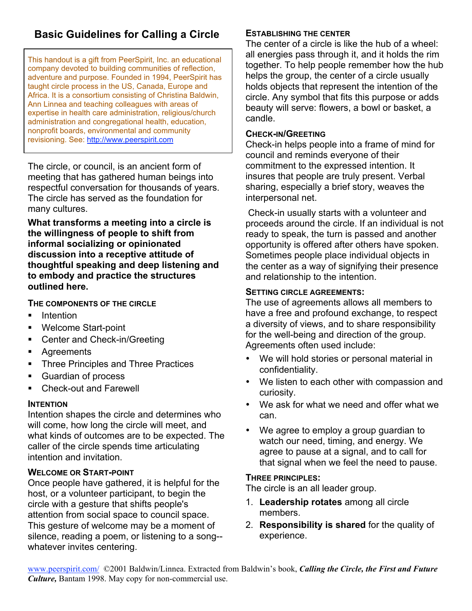# **Basic Guidelines for Calling a Circle**

This handout is a gift from PeerSpirit, Inc. an educational company devoted to building communities of reflection, adventure and purpose. Founded in 1994, PeerSpirit has taught circle process in the US, Canada, Europe and Africa. It is a consortium consisting of Christina Baldwin, Ann Linnea and teaching colleagues with areas of expertise in health care administration, religious/church administration and congregational health, education, nonprofit boards, environmental and community revisioning. See: http://www.peerspirit.com

The circle, or council, is an ancient form of meeting that has gathered human beings into respectful conversation for thousands of years. The circle has served as the foundation for many cultures.

**What transforms a meeting into a circle is the willingness of people to shift from informal socializing or opinionated discussion into a receptive attitude of thoughtful speaking and deep listening and to embody and practice the structures outlined here.**

**THE COMPONENTS OF THE CIRCLE**

- **Intention**
- Welcome Start-point
- Center and Check-in/Greeting
- **Agreements**
- **Three Principles and Three Practices**
- **Guardian of process**
- Check-out and Farewell

#### **INTENTION**

Intention shapes the circle and determines who will come, how long the circle will meet, and what kinds of outcomes are to be expected. The caller of the circle spends time articulating intention and invitation.

# **WELCOME OR START-POINT**

Once people have gathered, it is helpful for the host, or a volunteer participant, to begin the circle with a gesture that shifts people's attention from social space to council space. This gesture of welcome may be a moment of silence, reading a poem, or listening to a song- whatever invites centering.

## **ESTABLISHING THE CENTER**

The center of a circle is like the hub of a wheel: all energies pass through it, and it holds the rim together. To help people remember how the hub helps the group, the center of a circle usually holds objects that represent the intention of the circle. Any symbol that fits this purpose or adds beauty will serve: flowers, a bowl or basket, a candle.

#### **CHECK-IN/GREETING**

Check-in helps people into a frame of mind for council and reminds everyone of their commitment to the expressed intention. It insures that people are truly present. Verbal sharing, especially a brief story, weaves the interpersonal net.

 Check-in usually starts with a volunteer and proceeds around the circle. If an individual is not ready to speak, the turn is passed and another opportunity is offered after others have spoken. Sometimes people place individual objects in the center as a way of signifying their presence and relationship to the intention.

### **SETTING CIRCLE AGREEMENTS:**

The use of agreements allows all members to have a free and profound exchange, to respect a diversity of views, and to share responsibility for the well-being and direction of the group. Agreements often used include:

- We will hold stories or personal material in confidentiality.
- We listen to each other with compassion and curiosity.
- We ask for what we need and offer what we can.
- We agree to employ a group guardian to watch our need, timing, and energy. We agree to pause at a signal, and to call for that signal when we feel the need to pause.

#### **THREE PRINCIPLES:**

The circle is an all leader group.

- 1. **Leadership rotates** among all circle members.
- 2. **Responsibility is shared** for the quality of experience.

www.peerspirit.com/ ©2001 Baldwin/Linnea. Extracted from Baldwin's book, *Calling the Circle, the First and Future Culture,* Bantam 1998. May copy for non-commercial use.